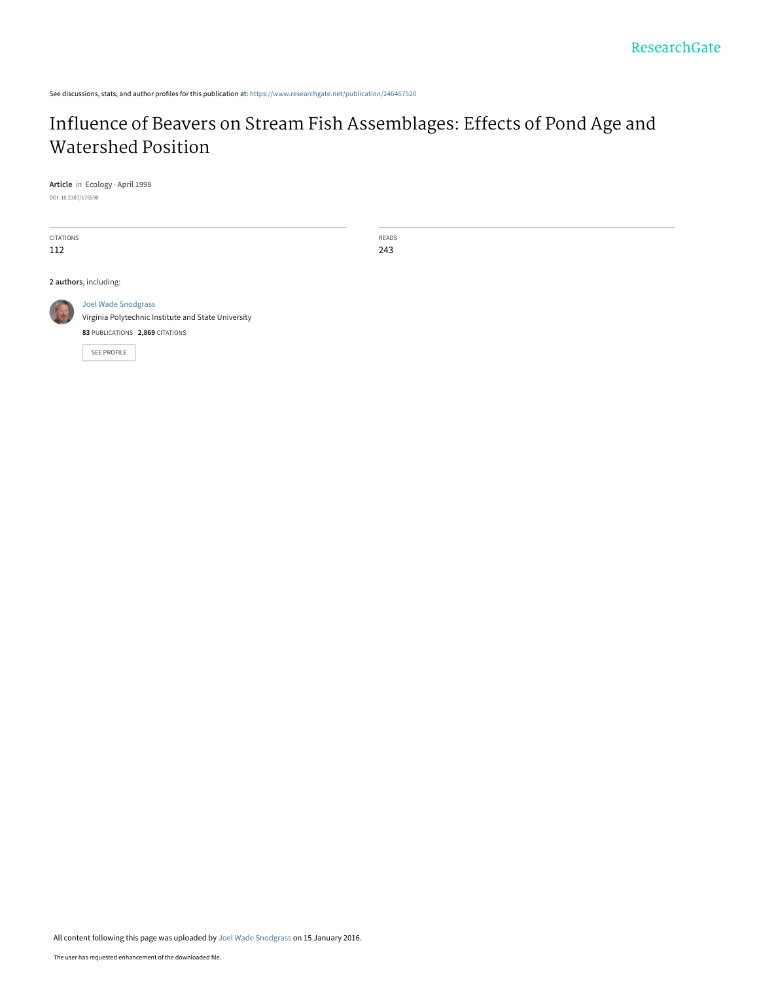See discussions, stats, and author profiles for this publication at: https://www.researchgate.net/publication/246467520

# Influence of Beavers on Stream Fish Assemblages: Effects of Pond Age and Watershed Position

**Article** in Ecology · April 1998

DOI: 10.2307/176590

CITATIONS 112

READS 243

**2 authors**, including:



Joel Wade Snodgrass Virginia Polytechnic Institute and State University **83** PUBLICATIONS **2,869** CITATIONS

SEE PROFILE

All content following this page was uploaded by Joel Wade Snodgrass on 15 January 2016.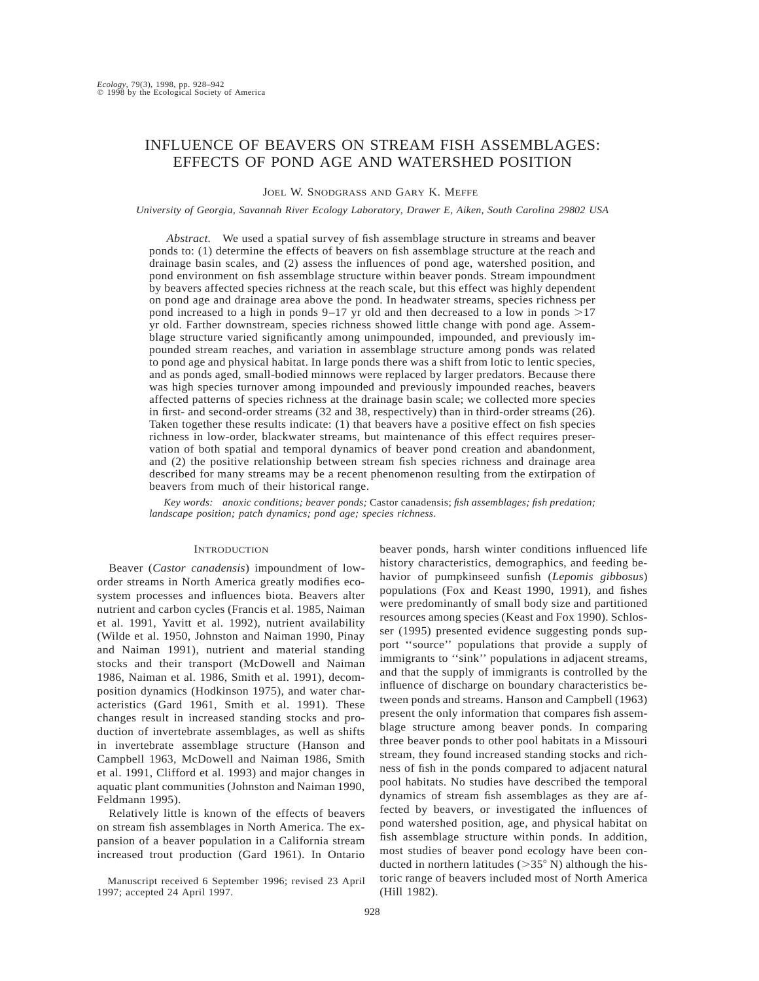## INFLUENCE OF BEAVERS ON STREAM FISH ASSEMBLAGES: EFFECTS OF POND AGE AND WATERSHED POSITION

JOEL W. SNODGRASS AND GARY K. MEFFE

*University of Georgia, Savannah River Ecology Laboratory, Drawer E, Aiken, South Carolina 29802 USA*

*Abstract.* We used a spatial survey of fish assemblage structure in streams and beaver ponds to: (1) determine the effects of beavers on fish assemblage structure at the reach and drainage basin scales, and (2) assess the influences of pond age, watershed position, and pond environment on fish assemblage structure within beaver ponds. Stream impoundment by beavers affected species richness at the reach scale, but this effect was highly dependent on pond age and drainage area above the pond. In headwater streams, species richness per pond increased to a high in ponds 9–17 yr old and then decreased to a low in ponds  $>17$ yr old. Farther downstream, species richness showed little change with pond age. Assemblage structure varied significantly among unimpounded, impounded, and previously impounded stream reaches, and variation in assemblage structure among ponds was related to pond age and physical habitat. In large ponds there was a shift from lotic to lentic species, and as ponds aged, small-bodied minnows were replaced by larger predators. Because there was high species turnover among impounded and previously impounded reaches, beavers affected patterns of species richness at the drainage basin scale; we collected more species in first- and second-order streams (32 and 38, respectively) than in third-order streams (26). Taken together these results indicate: (1) that beavers have a positive effect on fish species richness in low-order, blackwater streams, but maintenance of this effect requires preservation of both spatial and temporal dynamics of beaver pond creation and abandonment, and (2) the positive relationship between stream fish species richness and drainage area described for many streams may be a recent phenomenon resulting from the extirpation of beavers from much of their historical range.

*Key words: anoxic conditions; beaver ponds;* Castor canadensis; *fish assemblages; fish predation; landscape position; patch dynamics; pond age; species richness.*

#### **INTRODUCTION**

Beaver (*Castor canadensis*) impoundment of loworder streams in North America greatly modifies ecosystem processes and influences biota. Beavers alter nutrient and carbon cycles (Francis et al. 1985, Naiman et al. 1991, Yavitt et al. 1992), nutrient availability (Wilde et al. 1950, Johnston and Naiman 1990, Pinay and Naiman 1991), nutrient and material standing stocks and their transport (McDowell and Naiman 1986, Naiman et al. 1986, Smith et al. 1991), decomposition dynamics (Hodkinson 1975), and water characteristics (Gard 1961, Smith et al. 1991). These changes result in increased standing stocks and production of invertebrate assemblages, as well as shifts in invertebrate assemblage structure (Hanson and Campbell 1963, McDowell and Naiman 1986, Smith et al. 1991, Clifford et al. 1993) and major changes in aquatic plant communities (Johnston and Naiman 1990, Feldmann 1995).

Relatively little is known of the effects of beavers on stream fish assemblages in North America. The expansion of a beaver population in a California stream increased trout production (Gard 1961). In Ontario

Manuscript received 6 September 1996; revised 23 April 1997; accepted 24 April 1997.

beaver ponds, harsh winter conditions influenced life history characteristics, demographics, and feeding behavior of pumpkinseed sunfish (*Lepomis gibbosus*) populations (Fox and Keast 1990, 1991), and fishes were predominantly of small body size and partitioned resources among species (Keast and Fox 1990). Schlosser (1995) presented evidence suggesting ponds support ''source'' populations that provide a supply of immigrants to "sink" populations in adjacent streams, and that the supply of immigrants is controlled by the influence of discharge on boundary characteristics between ponds and streams. Hanson and Campbell (1963) present the only information that compares fish assemblage structure among beaver ponds. In comparing three beaver ponds to other pool habitats in a Missouri stream, they found increased standing stocks and richness of fish in the ponds compared to adjacent natural pool habitats. No studies have described the temporal dynamics of stream fish assemblages as they are affected by beavers, or investigated the influences of pond watershed position, age, and physical habitat on fish assemblage structure within ponds. In addition, most studies of beaver pond ecology have been conducted in northern latitudes ( $>35^{\circ}$  N) although the historic range of beavers included most of North America (Hill 1982).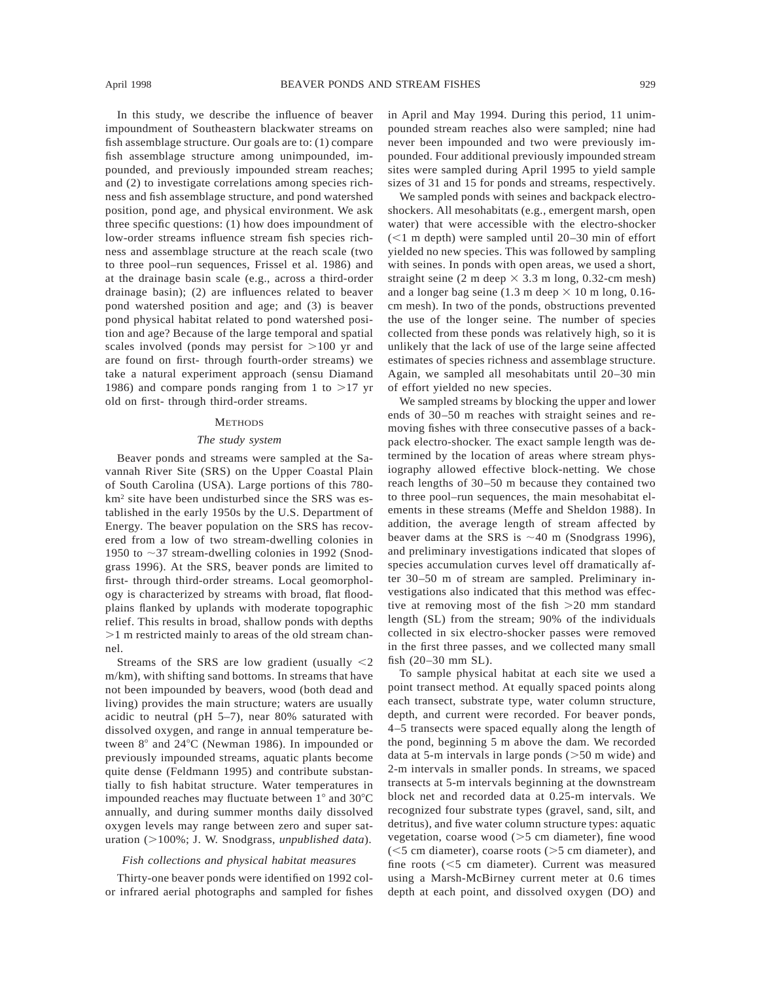In this study, we describe the influence of beaver impoundment of Southeastern blackwater streams on fish assemblage structure. Our goals are to: (1) compare fish assemblage structure among unimpounded, impounded, and previously impounded stream reaches; and (2) to investigate correlations among species richness and fish assemblage structure, and pond watershed position, pond age, and physical environment. We ask three specific questions: (1) how does impoundment of low-order streams influence stream fish species richness and assemblage structure at the reach scale (two to three pool–run sequences, Frissel et al. 1986) and at the drainage basin scale (e.g., across a third-order drainage basin); (2) are influences related to beaver pond watershed position and age; and (3) is beaver pond physical habitat related to pond watershed position and age? Because of the large temporal and spatial scales involved (ponds may persist for  $>100$  yr and are found on first- through fourth-order streams) we take a natural experiment approach (sensu Diamand 1986) and compare ponds ranging from 1 to  $>17$  yr old on first- through third-order streams.

## **METHODS**

#### *The study system*

Beaver ponds and streams were sampled at the Savannah River Site (SRS) on the Upper Coastal Plain of South Carolina (USA). Large portions of this 780 km2 site have been undisturbed since the SRS was established in the early 1950s by the U.S. Department of Energy. The beaver population on the SRS has recovered from a low of two stream-dwelling colonies in 1950 to  $\sim$ 37 stream-dwelling colonies in 1992 (Snodgrass 1996). At the SRS, beaver ponds are limited to first- through third-order streams. Local geomorphology is characterized by streams with broad, flat floodplains flanked by uplands with moderate topographic relief. This results in broad, shallow ponds with depths  $>1$  m restricted mainly to areas of the old stream channel.

Streams of the SRS are low gradient (usually  $\leq 2$ ) m/km), with shifting sand bottoms. In streams that have not been impounded by beavers, wood (both dead and living) provides the main structure; waters are usually acidic to neutral (pH 5–7), near 80% saturated with dissolved oxygen, and range in annual temperature between  $8^{\circ}$  and  $24^{\circ}$ C (Newman 1986). In impounded or previously impounded streams, aquatic plants become quite dense (Feldmann 1995) and contribute substantially to fish habitat structure. Water temperatures in impounded reaches may fluctuate between  $1^\circ$  and  $30^\circ$ C annually, and during summer months daily dissolved oxygen levels may range between zero and super saturation (>100%; J. W. Snodgrass, *unpublished data*).

## *Fish collections and physical habitat measures*

Thirty-one beaver ponds were identified on 1992 color infrared aerial photographs and sampled for fishes

in April and May 1994. During this period, 11 unimpounded stream reaches also were sampled; nine had never been impounded and two were previously impounded. Four additional previously impounded stream sites were sampled during April 1995 to yield sample sizes of 31 and 15 for ponds and streams, respectively.

We sampled ponds with seines and backpack electroshockers. All mesohabitats (e.g., emergent marsh, open water) that were accessible with the electro-shocker  $(<1$  m depth) were sampled until 20–30 min of effort yielded no new species. This was followed by sampling with seines. In ponds with open areas, we used a short, straight seine (2 m deep  $\times$  3.3 m long, 0.32-cm mesh) and a longer bag seine (1.3 m deep  $\times$  10 m long, 0.16cm mesh). In two of the ponds, obstructions prevented the use of the longer seine. The number of species collected from these ponds was relatively high, so it is unlikely that the lack of use of the large seine affected estimates of species richness and assemblage structure. Again, we sampled all mesohabitats until 20–30 min of effort yielded no new species.

We sampled streams by blocking the upper and lower ends of 30–50 m reaches with straight seines and removing fishes with three consecutive passes of a backpack electro-shocker. The exact sample length was determined by the location of areas where stream physiography allowed effective block-netting. We chose reach lengths of 30–50 m because they contained two to three pool–run sequences, the main mesohabitat elements in these streams (Meffe and Sheldon 1988). In addition, the average length of stream affected by beaver dams at the SRS is  $\sim$ 40 m (Snodgrass 1996), and preliminary investigations indicated that slopes of species accumulation curves level off dramatically after 30–50 m of stream are sampled. Preliminary investigations also indicated that this method was effective at removing most of the fish  $>20$  mm standard length (SL) from the stream; 90% of the individuals collected in six electro-shocker passes were removed in the first three passes, and we collected many small fish (20–30 mm SL).

To sample physical habitat at each site we used a point transect method. At equally spaced points along each transect, substrate type, water column structure, depth, and current were recorded. For beaver ponds, 4–5 transects were spaced equally along the length of the pond, beginning 5 m above the dam. We recorded data at 5-m intervals in large ponds  $($ >50 m wide) and 2-m intervals in smaller ponds. In streams, we spaced transects at 5-m intervals beginning at the downstream block net and recorded data at 0.25-m intervals. We recognized four substrate types (gravel, sand, silt, and detritus), and five water column structure types: aquatic vegetation, coarse wood  $(>5$  cm diameter), fine wood  $(<5$  cm diameter), coarse roots ( $>5$  cm diameter), and fine roots  $(<5$  cm diameter). Current was measured using a Marsh-McBirney current meter at 0.6 times depth at each point, and dissolved oxygen (DO) and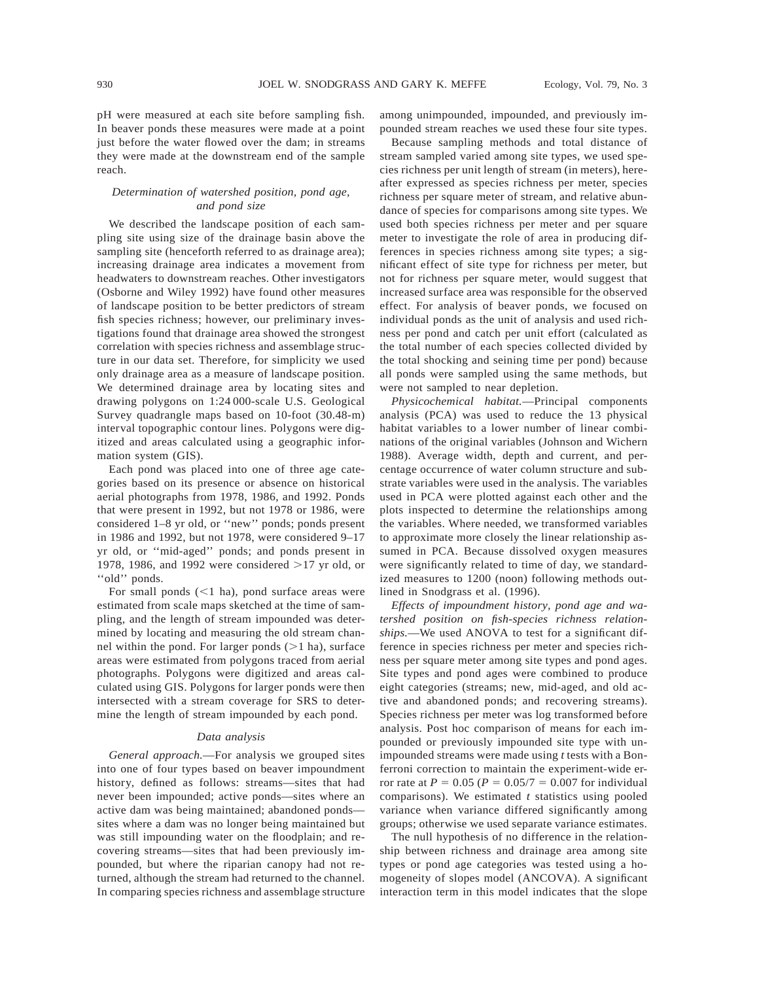pH were measured at each site before sampling fish. In beaver ponds these measures were made at a point just before the water flowed over the dam; in streams they were made at the downstream end of the sample reach.

## *Determination of watershed position, pond age, and pond size*

We described the landscape position of each sampling site using size of the drainage basin above the sampling site (henceforth referred to as drainage area); increasing drainage area indicates a movement from headwaters to downstream reaches. Other investigators (Osborne and Wiley 1992) have found other measures of landscape position to be better predictors of stream fish species richness; however, our preliminary investigations found that drainage area showed the strongest correlation with species richness and assemblage structure in our data set. Therefore, for simplicity we used only drainage area as a measure of landscape position. We determined drainage area by locating sites and drawing polygons on 1:24 000-scale U.S. Geological Survey quadrangle maps based on 10-foot (30.48-m) interval topographic contour lines. Polygons were digitized and areas calculated using a geographic information system (GIS).

Each pond was placed into one of three age categories based on its presence or absence on historical aerial photographs from 1978, 1986, and 1992. Ponds that were present in 1992, but not 1978 or 1986, were considered 1–8 yr old, or ''new'' ponds; ponds present in 1986 and 1992, but not 1978, were considered 9–17 yr old, or ''mid-aged'' ponds; and ponds present in 1978, 1986, and 1992 were considered  $>17$  yr old, or "old" ponds.

For small ponds  $(<1$  ha), pond surface areas were estimated from scale maps sketched at the time of sampling, and the length of stream impounded was determined by locating and measuring the old stream channel within the pond. For larger ponds  $(>1$  ha), surface areas were estimated from polygons traced from aerial photographs. Polygons were digitized and areas calculated using GIS. Polygons for larger ponds were then intersected with a stream coverage for SRS to determine the length of stream impounded by each pond.

## *Data analysis*

*General approach.*—For analysis we grouped sites into one of four types based on beaver impoundment history, defined as follows: streams—sites that had never been impounded; active ponds—sites where an active dam was being maintained; abandoned ponds sites where a dam was no longer being maintained but was still impounding water on the floodplain; and recovering streams—sites that had been previously impounded, but where the riparian canopy had not returned, although the stream had returned to the channel. In comparing species richness and assemblage structure among unimpounded, impounded, and previously impounded stream reaches we used these four site types.

Because sampling methods and total distance of stream sampled varied among site types, we used species richness per unit length of stream (in meters), hereafter expressed as species richness per meter, species richness per square meter of stream, and relative abundance of species for comparisons among site types. We used both species richness per meter and per square meter to investigate the role of area in producing differences in species richness among site types; a significant effect of site type for richness per meter, but not for richness per square meter, would suggest that increased surface area was responsible for the observed effect. For analysis of beaver ponds, we focused on individual ponds as the unit of analysis and used richness per pond and catch per unit effort (calculated as the total number of each species collected divided by the total shocking and seining time per pond) because all ponds were sampled using the same methods, but were not sampled to near depletion.

*Physicochemical habitat.*—Principal components analysis (PCA) was used to reduce the 13 physical habitat variables to a lower number of linear combinations of the original variables (Johnson and Wichern 1988). Average width, depth and current, and percentage occurrence of water column structure and substrate variables were used in the analysis. The variables used in PCA were plotted against each other and the plots inspected to determine the relationships among the variables. Where needed, we transformed variables to approximate more closely the linear relationship assumed in PCA. Because dissolved oxygen measures were significantly related to time of day, we standardized measures to 1200 (noon) following methods outlined in Snodgrass et al. (1996).

*Effects of impoundment history, pond age and watershed position on fish-species richness relationships.*—We used ANOVA to test for a significant difference in species richness per meter and species richness per square meter among site types and pond ages. Site types and pond ages were combined to produce eight categories (streams; new, mid-aged, and old active and abandoned ponds; and recovering streams). Species richness per meter was log transformed before analysis. Post hoc comparison of means for each impounded or previously impounded site type with unimpounded streams were made using *t* tests with a Bonferroni correction to maintain the experiment-wide error rate at  $P = 0.05$  ( $P = 0.05/7 = 0.007$  for individual comparisons). We estimated *t* statistics using pooled variance when variance differed significantly among groups; otherwise we used separate variance estimates.

The null hypothesis of no difference in the relationship between richness and drainage area among site types or pond age categories was tested using a homogeneity of slopes model (ANCOVA). A significant interaction term in this model indicates that the slope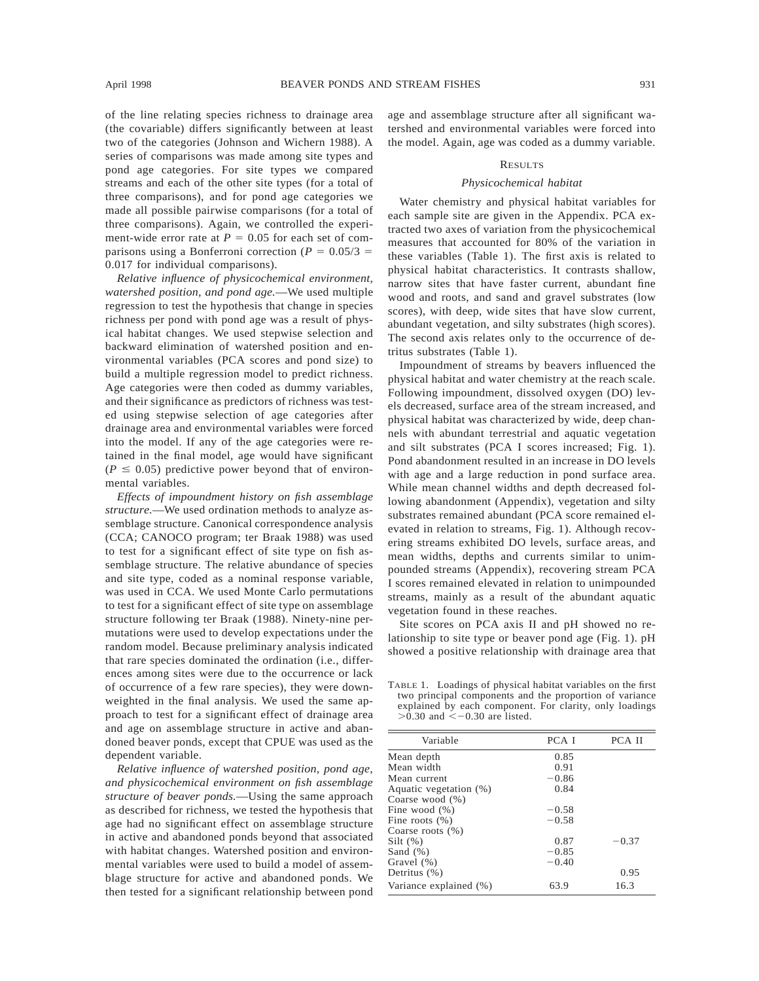of the line relating species richness to drainage area (the covariable) differs significantly between at least two of the categories (Johnson and Wichern 1988). A series of comparisons was made among site types and pond age categories. For site types we compared streams and each of the other site types (for a total of three comparisons), and for pond age categories we made all possible pairwise comparisons (for a total of three comparisons). Again, we controlled the experiment-wide error rate at  $P = 0.05$  for each set of comparisons using a Bonferroni correction ( $P = 0.05/3$  = 0.017 for individual comparisons).

*Relative influence of physicochemical environment, watershed position, and pond age.*—We used multiple regression to test the hypothesis that change in species richness per pond with pond age was a result of physical habitat changes. We used stepwise selection and backward elimination of watershed position and environmental variables (PCA scores and pond size) to build a multiple regression model to predict richness. Age categories were then coded as dummy variables, and their significance as predictors of richness was tested using stepwise selection of age categories after drainage area and environmental variables were forced into the model. If any of the age categories were retained in the final model, age would have significant  $(P \le 0.05)$  predictive power beyond that of environmental variables.

*Effects of impoundment history on fish assemblage structure.*—We used ordination methods to analyze assemblage structure. Canonical correspondence analysis (CCA; CANOCO program; ter Braak 1988) was used to test for a significant effect of site type on fish assemblage structure. The relative abundance of species and site type, coded as a nominal response variable, was used in CCA. We used Monte Carlo permutations to test for a significant effect of site type on assemblage structure following ter Braak (1988). Ninety-nine permutations were used to develop expectations under the random model. Because preliminary analysis indicated that rare species dominated the ordination (i.e., differences among sites were due to the occurrence or lack of occurrence of a few rare species), they were downweighted in the final analysis. We used the same approach to test for a significant effect of drainage area and age on assemblage structure in active and abandoned beaver ponds, except that CPUE was used as the dependent variable.

*Relative influence of watershed position, pond age, and physicochemical environment on fish assemblage structure of beaver ponds.*—Using the same approach as described for richness, we tested the hypothesis that age had no significant effect on assemblage structure in active and abandoned ponds beyond that associated with habitat changes. Watershed position and environmental variables were used to build a model of assemblage structure for active and abandoned ponds. We then tested for a significant relationship between pond

age and assemblage structure after all significant watershed and environmental variables were forced into the model. Again, age was coded as a dummy variable.

### **RESULTS**

## *Physicochemical habitat*

Water chemistry and physical habitat variables for each sample site are given in the Appendix. PCA extracted two axes of variation from the physicochemical measures that accounted for 80% of the variation in these variables (Table 1). The first axis is related to physical habitat characteristics. It contrasts shallow, narrow sites that have faster current, abundant fine wood and roots, and sand and gravel substrates (low scores), with deep, wide sites that have slow current, abundant vegetation, and silty substrates (high scores). The second axis relates only to the occurrence of detritus substrates (Table 1).

Impoundment of streams by beavers influenced the physical habitat and water chemistry at the reach scale. Following impoundment, dissolved oxygen (DO) levels decreased, surface area of the stream increased, and physical habitat was characterized by wide, deep channels with abundant terrestrial and aquatic vegetation and silt substrates (PCA I scores increased; Fig. 1). Pond abandonment resulted in an increase in DO levels with age and a large reduction in pond surface area. While mean channel widths and depth decreased following abandonment (Appendix), vegetation and silty substrates remained abundant (PCA score remained elevated in relation to streams, Fig. 1). Although recovering streams exhibited DO levels, surface areas, and mean widths, depths and currents similar to unimpounded streams (Appendix), recovering stream PCA I scores remained elevated in relation to unimpounded streams, mainly as a result of the abundant aquatic vegetation found in these reaches.

Site scores on PCA axis II and pH showed no relationship to site type or beaver pond age (Fig. 1). pH showed a positive relationship with drainage area that

TABLE 1. Loadings of physical habitat variables on the first two principal components and the proportion of variance explained by each component. For clarity, only loadings  $>0.30$  and  $<-0.30$  are listed.

| Variable               | PCA I   | <b>PCA II</b> |
|------------------------|---------|---------------|
| Mean depth             | 0.85    |               |
| Mean width             | 0.91    |               |
| Mean current           | $-0.86$ |               |
| Aquatic vegetation (%) | 0.84    |               |
| Coarse wood $(\%)$     |         |               |
| Fine wood $(\% )$      | $-0.58$ |               |
| Fine roots $(\% )$     | $-0.58$ |               |
| Coarse roots $(\%)$    |         |               |
| Silt(%)                | 0.87    | $-0.37$       |
| Sand $(\% )$           | $-0.85$ |               |
| Gravel $(\%)$          | $-0.40$ |               |
| Detritus $(\%)$        |         | 0.95          |
| Variance explained (%) | 63.9    | 16.3          |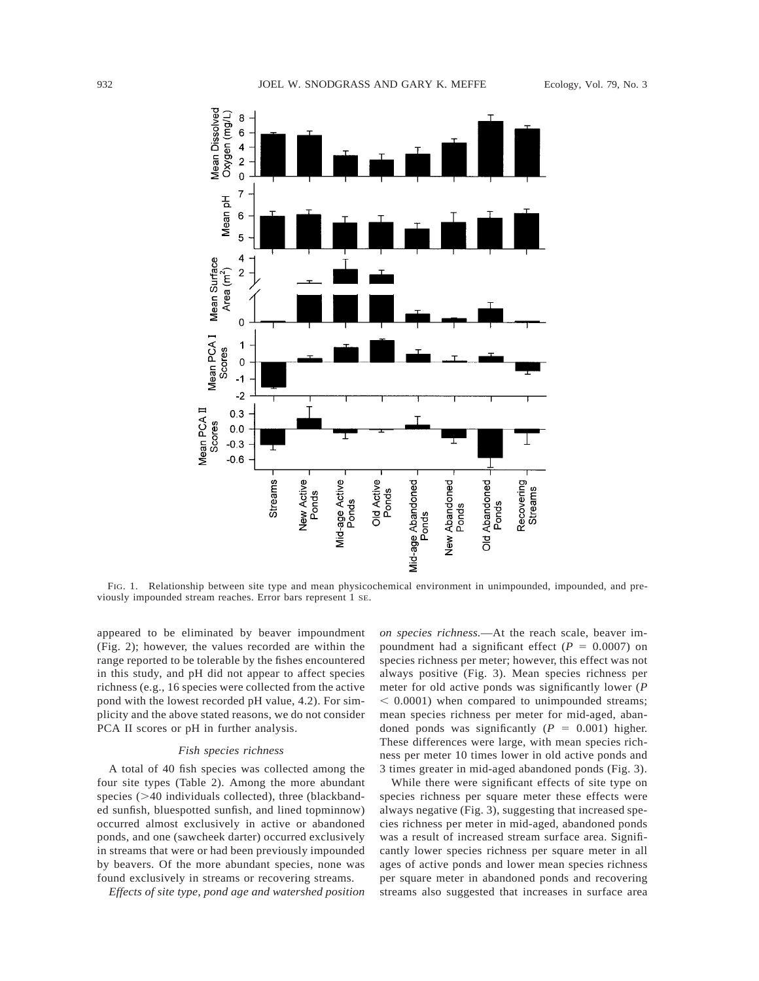

FIG. 1. Relationship between site type and mean physicochemical environment in unimpounded, impounded, and previously impounded stream reaches. Error bars represent 1 SE.

appeared to be eliminated by beaver impoundment (Fig. 2); however, the values recorded are within the range reported to be tolerable by the fishes encountered in this study, and pH did not appear to affect species richness (e.g., 16 species were collected from the active pond with the lowest recorded pH value, 4.2). For simplicity and the above stated reasons, we do not consider PCA II scores or pH in further analysis.

#### *Fish species richness*

A total of 40 fish species was collected among the four site types (Table 2). Among the more abundant species  $($  >40 individuals collected), three (blackbanded sunfish, bluespotted sunfish, and lined topminnow) occurred almost exclusively in active or abandoned ponds, and one (sawcheek darter) occurred exclusively in streams that were or had been previously impounded by beavers. Of the more abundant species, none was found exclusively in streams or recovering streams.

*Effects of site type, pond age and watershed position*

*on species richness.*—At the reach scale, beaver impoundment had a significant effect ( $P = 0.0007$ ) on species richness per meter; however, this effect was not always positive (Fig. 3). Mean species richness per meter for old active ponds was significantly lower (*P*  $<$  0.0001) when compared to unimpounded streams; mean species richness per meter for mid-aged, abandoned ponds was significantly  $(P = 0.001)$  higher. These differences were large, with mean species richness per meter 10 times lower in old active ponds and 3 times greater in mid-aged abandoned ponds (Fig. 3).

While there were significant effects of site type on species richness per square meter these effects were always negative (Fig. 3), suggesting that increased species richness per meter in mid-aged, abandoned ponds was a result of increased stream surface area. Significantly lower species richness per square meter in all ages of active ponds and lower mean species richness per square meter in abandoned ponds and recovering streams also suggested that increases in surface area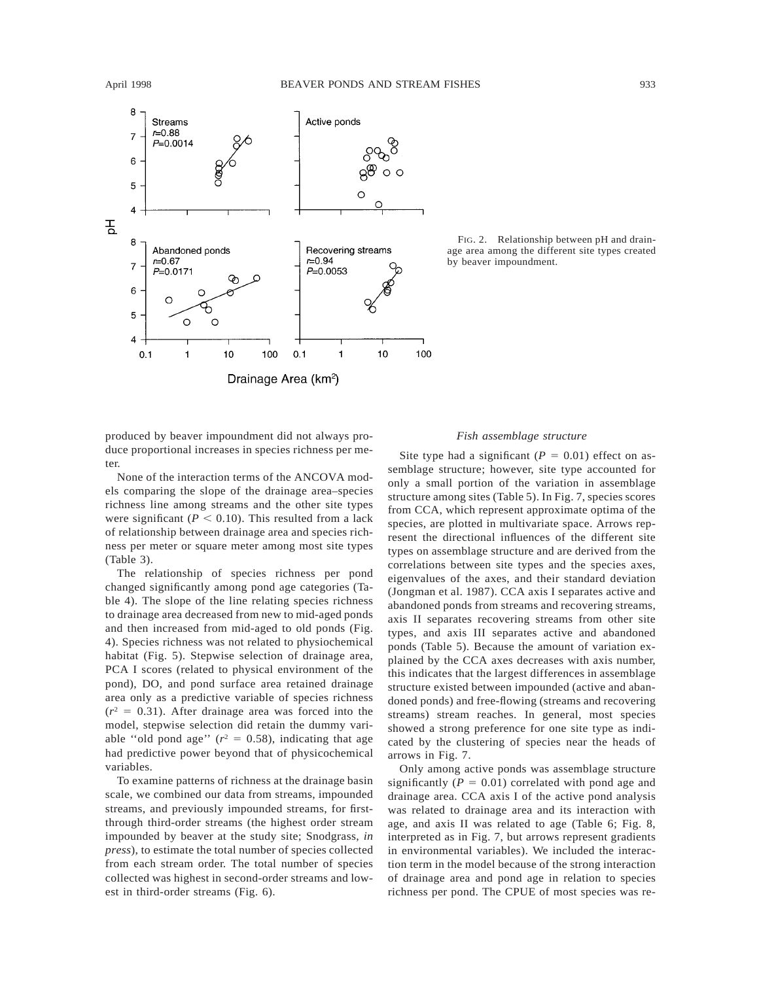

FIG. 2. Relationship between pH and drainage area among the different site types created by beaver impoundment.

produced by beaver impoundment did not always produce proportional increases in species richness per meter.

None of the interaction terms of the ANCOVA models comparing the slope of the drainage area–species richness line among streams and the other site types were significant ( $P < 0.10$ ). This resulted from a lack of relationship between drainage area and species richness per meter or square meter among most site types (Table 3).

The relationship of species richness per pond changed significantly among pond age categories (Table 4). The slope of the line relating species richness to drainage area decreased from new to mid-aged ponds and then increased from mid-aged to old ponds (Fig. 4). Species richness was not related to physiochemical habitat (Fig. 5). Stepwise selection of drainage area, PCA I scores (related to physical environment of the pond), DO, and pond surface area retained drainage area only as a predictive variable of species richness  $(r^2 = 0.31)$ . After drainage area was forced into the model, stepwise selection did retain the dummy variable "old pond age"  $(r^2 = 0.58)$ , indicating that age had predictive power beyond that of physicochemical variables.

To examine patterns of richness at the drainage basin scale, we combined our data from streams, impounded streams, and previously impounded streams, for firstthrough third-order streams (the highest order stream impounded by beaver at the study site; Snodgrass, *in press*), to estimate the total number of species collected from each stream order. The total number of species collected was highest in second-order streams and lowest in third-order streams (Fig. 6).

#### *Fish assemblage structure*

Site type had a significant ( $P = 0.01$ ) effect on assemblage structure; however, site type accounted for only a small portion of the variation in assemblage structure among sites (Table 5). In Fig. 7, species scores from CCA, which represent approximate optima of the species, are plotted in multivariate space. Arrows represent the directional influences of the different site types on assemblage structure and are derived from the correlations between site types and the species axes, eigenvalues of the axes, and their standard deviation (Jongman et al. 1987). CCA axis I separates active and abandoned ponds from streams and recovering streams, axis II separates recovering streams from other site types, and axis III separates active and abandoned ponds (Table 5). Because the amount of variation explained by the CCA axes decreases with axis number, this indicates that the largest differences in assemblage structure existed between impounded (active and abandoned ponds) and free-flowing (streams and recovering streams) stream reaches. In general, most species showed a strong preference for one site type as indicated by the clustering of species near the heads of arrows in Fig. 7.

Only among active ponds was assemblage structure significantly  $(P = 0.01)$  correlated with pond age and drainage area. CCA axis I of the active pond analysis was related to drainage area and its interaction with age, and axis II was related to age (Table 6; Fig. 8, interpreted as in Fig. 7, but arrows represent gradients in environmental variables). We included the interaction term in the model because of the strong interaction of drainage area and pond age in relation to species richness per pond. The CPUE of most species was re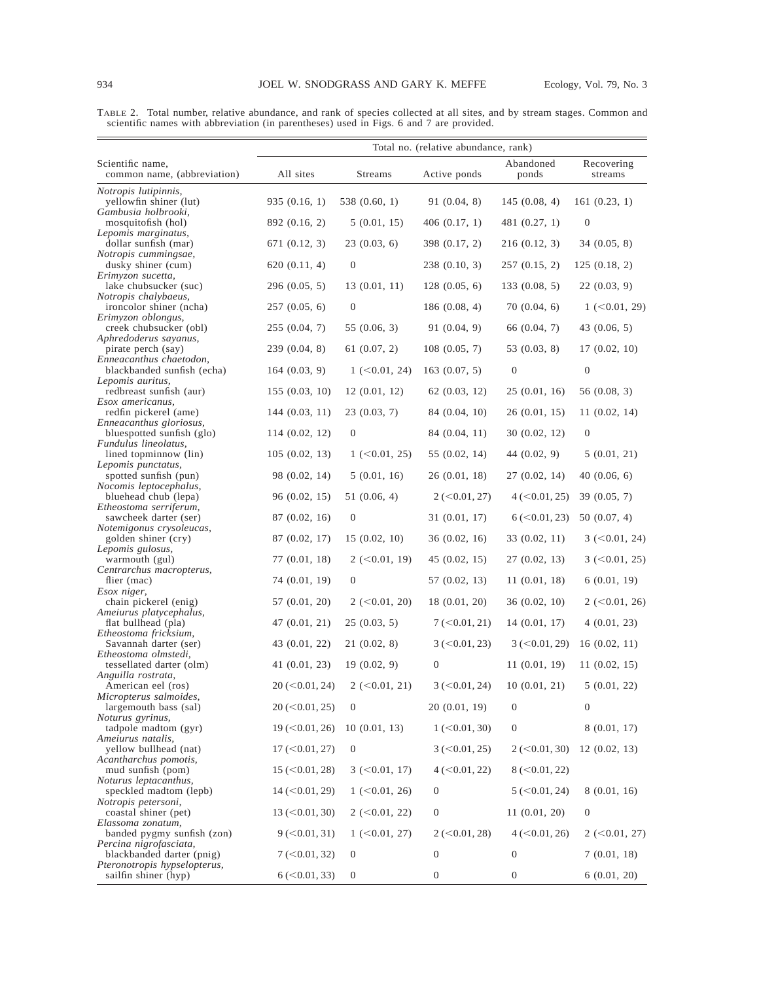TABLE 2. Total number, relative abundance, and rank of species collected at all sites, and by stream stages. Common and scientific names with abbreviation (in parentheses) used in Figs. 6 and 7 are provided.

|                                                           | Total no. (relative abundance, rank) |                   |                             |                                 |                   |  |
|-----------------------------------------------------------|--------------------------------------|-------------------|-----------------------------|---------------------------------|-------------------|--|
| Scientific name,                                          |                                      |                   |                             | Abandoned                       | Recovering        |  |
| common name, (abbreviation)                               | All sites                            | Streams           | Active ponds                | ponds                           | streams           |  |
| Notropis lutipinnis,<br>yellowfin shiner (lut)            | 935(0.16, 1)                         | 538 (0.60, 1)     | 91(0.04, 8)                 | 145(0.08, 4)                    | 161(0.23, 1)      |  |
| Gambusia holbrooki,<br>mosquitofish (hol)                 | 892 (0.16, 2)                        | 5(0.01, 15)       | 406(0.17, 1)                | 481(0.27, 1)                    | $\theta$          |  |
| Lepomis marginatus,<br>dollar sunfish (mar)               | 671(0.12, 3)                         | 23(0.03, 6)       | 398 (0.17, 2)               | 216(0.12, 3)                    | 34(0.05, 8)       |  |
| Notropis cummingsae,<br>dusky shiner (cum)                | 620(0.11, 4)                         | $\theta$          | 238(0.10, 3)                | 257(0.15, 2)                    | 125(0.18, 2)      |  |
| Erimyzon sucetta,<br>lake chubsucker (suc)                | 296(0.05, 5)                         | 13(0.01, 11)      | 128(0.05, 6)                | 133(0.08, 5)                    | 22(0.03, 9)       |  |
| Notropis chalybaeus,                                      |                                      |                   |                             |                                 |                   |  |
| ironcolor shiner (ncha)<br>Erimyzon oblongus,             | 257(0.05, 6)                         | $\mathbf{0}$      | 186(0.08, 4)                | 70(0.04, 6)                     | $1$ (<0.01, 29)   |  |
| creek chubsucker (obl)<br>Aphredoderus sayanus,           | 255(0.04, 7)                         | 55(0.06, 3)       | 91(0.04, 9)                 | 66(0.04, 7)                     | 43(0.06, 5)       |  |
| pirate perch (say)<br>Enneacanthus chaetodon,             | 239(0.04, 8)                         | 61(0.07, 2)       | 108(0.05, 7)                | 53 (0.03, 8)                    | 17(0.02, 10)      |  |
| blackbanded sunfish (echa)<br>Lepomis auritus,            | 164(0.03, 9)                         | $1 (-0.01, 24)$   | 163(0.07, 5)                | $\mathbf{0}$                    | $\mathbf{0}$      |  |
| redbreast sunfish (aur)<br>Esox americanus.               | 155(0.03, 10)                        | 12(0.01, 12)      | 62 (0.03, 12)               | 25(0.01, 16)                    | 56(0.08, 3)       |  |
| redfin pickerel (ame)                                     | 144(0.03, 11)                        | 23(0.03, 7)       | 84 (0.04, 10)               | 26(0.01, 15)                    | 11(0.02, 14)      |  |
| Enneacanthus gloriosus,<br>bluespotted sunfish (glo)      | 114(0.02, 12)                        | $\mathbf{0}$      | 84 (0.04, 11)               | 30(0.02, 12)                    | $\mathbf{0}$      |  |
| Fundulus lineolatus,<br>lined topminnow (lin)             | 105(0.02, 13)                        | $1 (-0.01, 25)$   | 55(0.02, 14)                | 44(0.02, 9)                     | 5(0.01, 21)       |  |
| Lepomis punctatus,<br>spotted sunfish (pun)               | 98 (0.02, 14)                        | 5(0.01, 16)       | 26(0.01, 18)                | 27 (0.02, 14)                   | 40(0.06, 6)       |  |
| Nocomis leptocephalus,<br>bluehead chub (lepa)            | 96(0.02, 15)                         | 51(0.06, 4)       | 2 (< 0.01, 27)              | 4 (< 0.01, 25)                  | 39(0.05, 7)       |  |
| Etheostoma serriferum,<br>sawcheek darter (ser)           | 87(0.02, 16)                         | $\mathbf{0}$      | 31(0.01, 17)                | 6 (< 0.01, 23)                  | 50(0.07, 4)       |  |
| Notemigonus crysoleucas,                                  |                                      |                   |                             |                                 |                   |  |
| golden shiner (cry)<br>Lepomis gulosus,                   | 87 (0.02, 17)                        | 15(0.02, 10)      | 36(0.02, 16)                | 33(0.02, 11)                    | $3 \ (-0.01, 24)$ |  |
| warmouth (gul)<br>Centrarchus macropterus,                | 77(0.01, 18)                         | $2 \ (-0.01, 19)$ | 45(0.02, 15)                | 27(0.02, 13)                    | $3 (-0.01, 25)$   |  |
| flier (mac)<br>Esox niger,                                | 74 (0.01, 19)                        | $\theta$          | 57(0.02, 13)                | 11(0.01, 18)                    | 6(0.01, 19)       |  |
| chain pickerel (enig)<br>Ameiurus platycephalus,          | 57(0.01, 20)                         | $2 (-0.01, 20)$   | 18(0.01, 20)                | 36(0.02, 10)                    | $2 \ (-0.01, 26)$ |  |
| flat bullhead (pla)<br>Etheostoma fricksium,              | 47(0.01, 21)                         | 25(0.03, 5)       | 7 (< 0.01, 21)              | 14(0.01, 17)                    | 4(0.01, 23)       |  |
| Savannah darter (ser)                                     | 43(0.01, 22)                         | 21(0.02, 8)       | $3 \left( 0.01, 23 \right)$ | $3 \left( 0.01, 29 \right)$     | 16(0.02, 11)      |  |
| Etheostoma olmstedi,<br>tessellated darter (olm)          | 41 (0.01, 23)                        | 19(0.02, 9)       | 0                           | 11(0.01, 19)                    | 11(0.02, 15)      |  |
| Anguilla rostrata,<br>American eel (ros)                  | $20 \, (\leq 0.01, 24)$              | $2 \ (-0.01, 21)$ | $3 \left( 0.01, 24 \right)$ | 10(0.01, 21)                    | 5(0.01, 22)       |  |
| Micropterus salmoides,<br>largemouth bass (sal)           | $20 \, (\leq 0.01, 25)$              | $\mathbf{0}$      | 20(0.01, 19)                | $\mathbf{0}$                    | $\mathbf{0}$      |  |
| Noturus gyrinus,<br>tadpole madtom (gyr)                  | $19 \, (\leq 0.01, 26)$              | 10(0.01, 13)      | 1 (< 0.01, 30)              | $\mathbf{0}$                    | 8(0.01, 17)       |  |
| Ameiurus natalis,<br>yellow bullhead (nat)                | 17 (< 0.01, 27)                      | $\mathbf{0}$      | $3 \left( 0.01, 25 \right)$ | 2 (< 0.01, 30)                  | 12(0.02, 13)      |  |
| Acantharchus pomotis,<br>mud sunfish (pom)                | $15 \left( \le 0.01, 28 \right)$     | $3 (-0.01, 17)$   | 4 (< 0.01, 22)              | 8 (< 0.01, 22)                  |                   |  |
| Noturus leptacanthus,                                     |                                      |                   |                             |                                 |                   |  |
| speckled madtom (lepb)<br>Notropis petersoni,             | $14 \left( \leq 0.01, 29 \right)$    | $1$ (<0.01, 26)   | 0                           | $5 \left( \le 0.01, 24 \right)$ | 8(0.01, 16)       |  |
| coastal shiner (pet)<br>Elassoma zonatum,                 | $13 \left( \leq 0.01, 30 \right)$    | $2 (-0.01, 22)$   | $\mathbf{0}$                | 11(0.01, 20)                    | $\boldsymbol{0}$  |  |
| banded pygmy sunfish (zon)<br>Percina nigrofasciata,      | 9 (< 0.01, 31)                       | $1$ (<0.01, 27)   | 2 (< 0.01, 28)              | $4 \left( 0.01, 26 \right)$     | $2 \ (-0.01, 27)$ |  |
| blackbanded darter (pnig)<br>Pteronotropis hypselopterus, | $7 \left( \leq 0.01, 32 \right)$     | $\mathbf{0}$      | $\boldsymbol{0}$            | 0                               | 7(0.01, 18)       |  |
| sailfin shiner (hyp)                                      | 6 (< 0.01, 33)                       | 0                 | 0                           | $\boldsymbol{0}$                | 6(0.01, 20)       |  |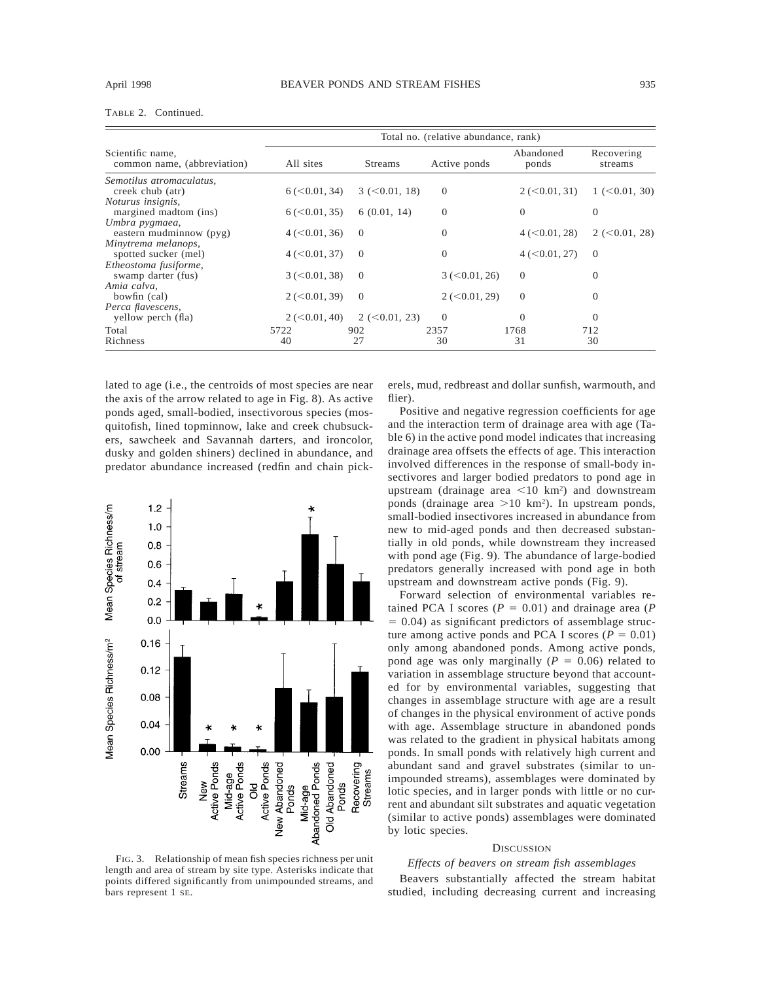|                                                                   | Total no. (relative abundance, rank) |                   |                |                    |                                  |  |  |
|-------------------------------------------------------------------|--------------------------------------|-------------------|----------------|--------------------|----------------------------------|--|--|
| Scientific name,<br>common name, (abbreviation)                   | All sites                            | <b>Streams</b>    | Active ponds   | Abandoned<br>ponds | Recovering<br>streams            |  |  |
| Semotilus atromaculatus.<br>creek chub (atr)<br>Noturus insignis, | 6 (< 0.01, 34)                       | $3 \ (-0.01, 18)$ | $\Omega$       | 2 (< 0.01, 31)     | $1 \left( \leq 0.01, 30 \right)$ |  |  |
| margined madtom (ins)                                             | 6 (< 0.01, 35)                       | 6(0.01, 14)       | $\Omega$       | $\Omega$           | $\Omega$                         |  |  |
| Umbra pygmaea,<br>eastern mudminnow (pyg)                         | 4 (< 0.01, 36)                       | $\Omega$          | 0              | 4 (< 0.01, 28)     | 2 (< 0.01, 28)                   |  |  |
| Minytrema melanops,<br>spotted sucker (mel)                       | 4 (< 0.01, 37)                       | $\Omega$          | $\Omega$       | 4 (< 0.01, 27)     | $\Omega$                         |  |  |
| Etheostoma fusiforme,<br>swamp darter (fus)                       | $3 \left( 50.01, 38 \right)$         | $\overline{0}$    | 3 (< 0.01, 26) | $\overline{0}$     | $\overline{0}$                   |  |  |
| Amia calva.<br>bowfin (cal)                                       | 2 (< 0.01, 39)                       | $\overline{0}$    | 2 (< 0.01, 29) | $\theta$           | $\Omega$                         |  |  |
| Perca flavescens,                                                 |                                      |                   |                |                    |                                  |  |  |
| yellow perch (fla)                                                | 2 (< 0.01, 40)                       | $2 (-0.01, 23)$   | $\Omega$       | $\theta$           | $\overline{0}$                   |  |  |
| Total<br>Richness                                                 | 5722<br>40                           | 902<br>27         | 2357<br>30     | 1768<br>31         | 712<br>30                        |  |  |

lated to age (i.e., the centroids of most species are near the axis of the arrow related to age in Fig. 8). As active ponds aged, small-bodied, insectivorous species (mosquitofish, lined topminnow, lake and creek chubsuckers, sawcheek and Savannah darters, and ironcolor, dusky and golden shiners) declined in abundance, and predator abundance increased (redfin and chain pick-



FIG. 3. Relationship of mean fish species richness per unit length and area of stream by site type. Asterisks indicate that points differed significantly from unimpounded streams, and bars represent 1 SE.

erels, mud, redbreast and dollar sunfish, warmouth, and flier).

Positive and negative regression coefficients for age and the interaction term of drainage area with age (Table 6) in the active pond model indicates that increasing drainage area offsets the effects of age. This interaction involved differences in the response of small-body insectivores and larger bodied predators to pond age in upstream (drainage area  $\leq 10$  km<sup>2</sup>) and downstream ponds (drainage area  $>10 \text{ km}^2$ ). In upstream ponds, small-bodied insectivores increased in abundance from new to mid-aged ponds and then decreased substantially in old ponds, while downstream they increased with pond age (Fig. 9). The abundance of large-bodied predators generally increased with pond age in both upstream and downstream active ponds (Fig. 9).

Forward selection of environmental variables retained PCA I scores  $(P = 0.01)$  and drainage area  $(P)$  $= 0.04$ ) as significant predictors of assemblage structure among active ponds and PCA I scores ( $P = 0.01$ ) only among abandoned ponds. Among active ponds, pond age was only marginally ( $P = 0.06$ ) related to variation in assemblage structure beyond that accounted for by environmental variables, suggesting that changes in assemblage structure with age are a result of changes in the physical environment of active ponds with age. Assemblage structure in abandoned ponds was related to the gradient in physical habitats among ponds. In small ponds with relatively high current and abundant sand and gravel substrates (similar to unimpounded streams), assemblages were dominated by lotic species, and in larger ponds with little or no current and abundant silt substrates and aquatic vegetation (similar to active ponds) assemblages were dominated by lotic species.

#### **DISCUSSION**

#### *Effects of beavers on stream fish assemblages*

Beavers substantially affected the stream habitat studied, including decreasing current and increasing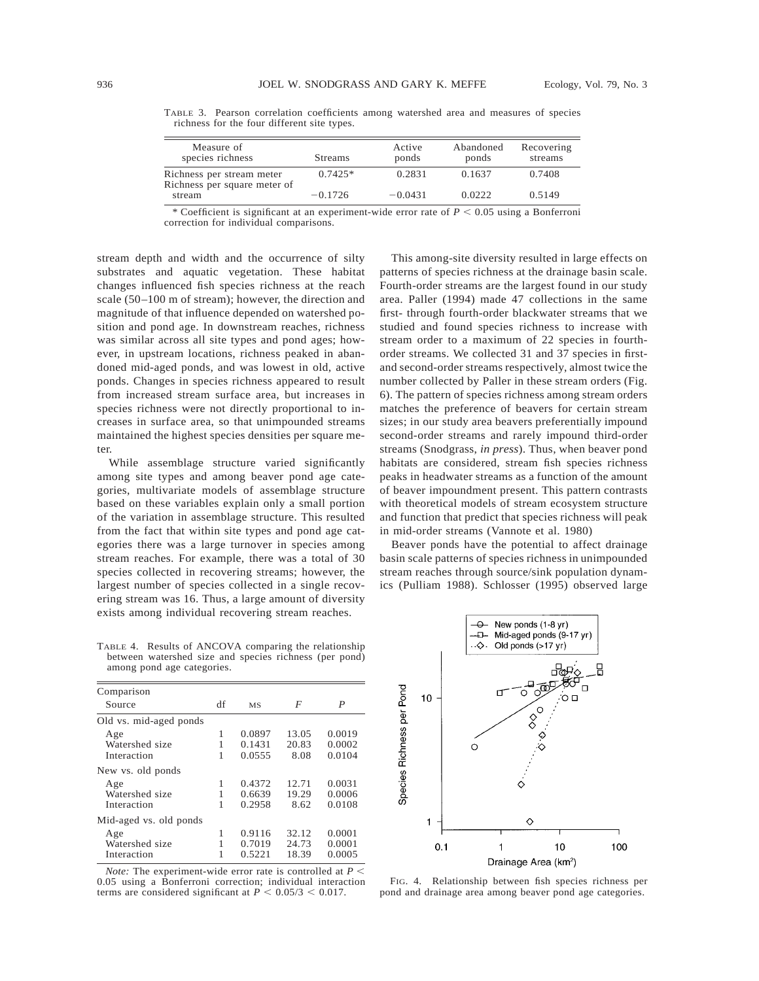| Measure of<br>species richness                            | <b>Streams</b> | Active<br>ponds | Abandoned<br>ponds | Recovering<br>streams |
|-----------------------------------------------------------|----------------|-----------------|--------------------|-----------------------|
| Richness per stream meter<br>Richness per square meter of | $0.7425*$      | 0.2831          | 0.1637             | 0.7408                |
| stream                                                    | $-0.1726$      | $-0.0431$       | 0.0222             | 0.5149                |

TABLE 3. Pearson correlation coefficients among watershed area and measures of species richness for the four different site types.

\* Coefficient is significant at an experiment-wide error rate of  $P < 0.05$  using a Bonferroni correction for individual comparisons.

stream depth and width and the occurrence of silty substrates and aquatic vegetation. These habitat changes influenced fish species richness at the reach scale (50–100 m of stream); however, the direction and magnitude of that influence depended on watershed position and pond age. In downstream reaches, richness was similar across all site types and pond ages; however, in upstream locations, richness peaked in abandoned mid-aged ponds, and was lowest in old, active ponds. Changes in species richness appeared to result from increased stream surface area, but increases in species richness were not directly proportional to increases in surface area, so that unimpounded streams maintained the highest species densities per square meter.

While assemblage structure varied significantly among site types and among beaver pond age categories, multivariate models of assemblage structure based on these variables explain only a small portion of the variation in assemblage structure. This resulted from the fact that within site types and pond age categories there was a large turnover in species among stream reaches. For example, there was a total of 30 species collected in recovering streams; however, the largest number of species collected in a single recovering stream was 16. Thus, a large amount of diversity exists among individual recovering stream reaches.

This among-site diversity resulted in large effects on patterns of species richness at the drainage basin scale. Fourth-order streams are the largest found in our study area. Paller (1994) made 47 collections in the same first- through fourth-order blackwater streams that we studied and found species richness to increase with stream order to a maximum of 22 species in fourthorder streams. We collected 31 and 37 species in firstand second-order streams respectively, almost twice the number collected by Paller in these stream orders (Fig. 6). The pattern of species richness among stream orders matches the preference of beavers for certain stream sizes; in our study area beavers preferentially impound second-order streams and rarely impound third-order streams (Snodgrass, *in press*). Thus, when beaver pond habitats are considered, stream fish species richness peaks in headwater streams as a function of the amount of beaver impoundment present. This pattern contrasts with theoretical models of stream ecosystem structure and function that predict that species richness will peak in mid-order streams (Vannote et al. 1980)

Beaver ponds have the potential to affect drainage basin scale patterns of species richness in unimpounded stream reaches through source/sink population dynamics (Pulliam 1988). Schlosser (1995) observed large

TABLE 4. Results of ANCOVA comparing the relationship between watershed size and species richness (per pond) among pond age categories.

| Comparison             |    |           |       |        |
|------------------------|----|-----------|-------|--------|
| Source                 | df | <b>MS</b> | F     | P      |
| Old vs. mid-aged ponds |    |           |       |        |
| Age                    | 1  | 0.0897    | 13.05 | 0.0019 |
| Watershed size         | 1  | 0.1431    | 20.83 | 0.0002 |
| Interaction            | 1  | 0.0555    | 8.08  | 0.0104 |
| New vs. old ponds      |    |           |       |        |
| Age                    | 1  | 0.4372    | 12.71 | 0.0031 |
| Watershed size         | 1  | 0.6639    | 19.29 | 0.0006 |
| Interaction            | 1  | 0.2958    | 8.62  | 0.0108 |
| Mid-aged vs. old ponds |    |           |       |        |
| Age                    | 1  | 0.9116    | 32.12 | 0.0001 |
| Watershed size         | 1  | 0.7019    | 24.73 | 0.0001 |
| Interaction            | 1  | 0.5221    | 18.39 | 0.0005 |

*Note:* The experiment-wide error rate is controlled at  $P \leq$ 0.05 using a Bonferroni correction; individual interaction terms are considered significant at  $P < 0.05/3 < 0.017$ .



FIG. 4. Relationship between fish species richness per pond and drainage area among beaver pond age categories.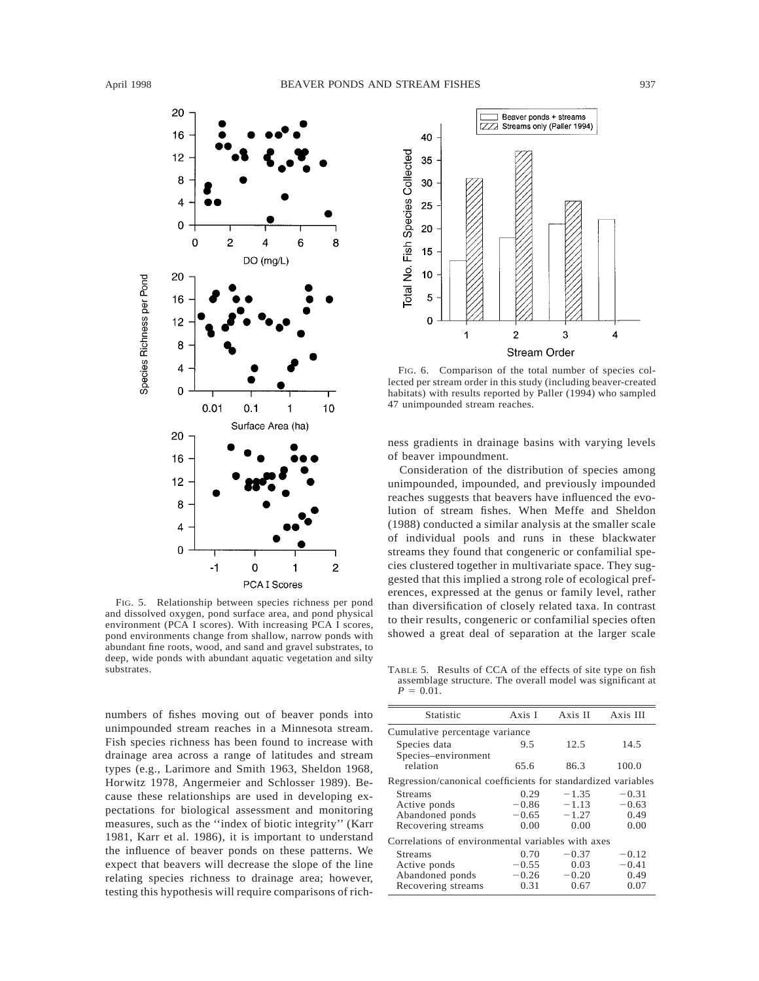

FIG. 5. Relationship between species richness per pond and dissolved oxygen, pond surface area, and pond physical environment (PCA I scores). With increasing PCA I scores, pond environments change from shallow, narrow ponds with abundant fine roots, wood, and sand and gravel substrates, to deep, wide ponds with abundant aquatic vegetation and silty substrates.

numbers of fishes moving out of beaver ponds into unimpounded stream reaches in a Minnesota stream. Fish species richness has been found to increase with drainage area across a range of latitudes and stream types (e.g., Larimore and Smith 1963, Sheldon 1968, Horwitz 1978, Angermeier and Schlosser 1989). Because these relationships are used in developing expectations for biological assessment and monitoring measures, such as the ''index of biotic integrity'' (Karr 1981, Karr et al. 1986), it is important to understand the influence of beaver ponds on these patterns. We expect that beavers will decrease the slope of the line relating species richness to drainage area; however, testing this hypothesis will require comparisons of rich-



FIG. 6. Comparison of the total number of species collected per stream order in this study (including beaver-created habitats) with results reported by Paller (1994) who sampled 47 unimpounded stream reaches.

ness gradients in drainage basins with varying levels of beaver impoundment.

Consideration of the distribution of species among unimpounded, impounded, and previously impounded reaches suggests that beavers have influenced the evolution of stream fishes. When Meffe and Sheldon (1988) conducted a similar analysis at the smaller scale of individual pools and runs in these blackwater streams they found that congeneric or confamilial species clustered together in multivariate space. They suggested that this implied a strong role of ecological preferences, expressed at the genus or family level, rather than diversification of closely related taxa. In contrast to their results, congeneric or confamilial species often showed a great deal of separation at the larger scale

TABLE 5. Results of CCA of the effects of site type on fish assemblage structure. The overall model was significant at  $P = 0.01$ .

| Statistic                                                    | Axis I  | Axis II | Axis III |  |  |  |  |  |
|--------------------------------------------------------------|---------|---------|----------|--|--|--|--|--|
| Cumulative percentage variance                               |         |         |          |  |  |  |  |  |
| Species data<br>Species-environment                          | 9.5     | 12.5    | 14.5     |  |  |  |  |  |
| relation                                                     | 65.6    | 86.3    | 100.0    |  |  |  |  |  |
| Regression/canonical coefficients for standardized variables |         |         |          |  |  |  |  |  |
| <b>Streams</b>                                               | 0.29    | $-1.35$ | $-0.31$  |  |  |  |  |  |
| Active ponds                                                 | $-0.86$ | $-1.13$ | $-0.63$  |  |  |  |  |  |
| Abandoned ponds                                              | $-0.65$ | $-1.27$ | 0.49     |  |  |  |  |  |
| Recovering streams                                           | 0.00    | 0.00    | 0.00     |  |  |  |  |  |
| Correlations of environmental variables with axes            |         |         |          |  |  |  |  |  |
| <b>Streams</b>                                               | 0.70    | $-0.37$ | $-0.12$  |  |  |  |  |  |
| Active ponds                                                 | $-0.55$ | 0.03    | $-0.41$  |  |  |  |  |  |
| Abandoned ponds                                              | $-0.26$ | $-0.20$ | 0.49     |  |  |  |  |  |
| Recovering streams                                           | 0.31    | 0.67    | 0.07     |  |  |  |  |  |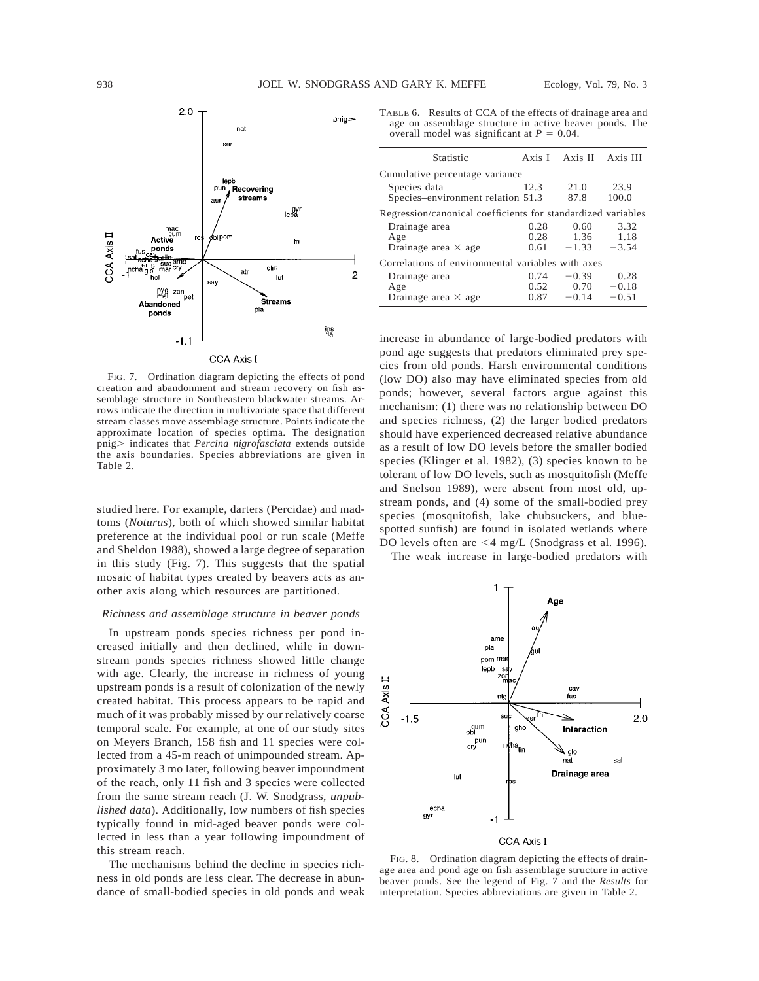

FIG. 7. Ordination diagram depicting the effects of pond creation and abandonment and stream recovery on fish assemblage structure in Southeastern blackwater streams. Arrows indicate the direction in multivariate space that different stream classes move assemblage structure. Points indicate the approximate location of species optima. The designation pnig. indicates that *Percina nigrofasciata* extends outside the axis boundaries. Species abbreviations are given in Table 2.

studied here. For example, darters (Percidae) and madtoms (*Noturus*), both of which showed similar habitat preference at the individual pool or run scale (Meffe and Sheldon 1988), showed a large degree of separation in this study (Fig. 7). This suggests that the spatial mosaic of habitat types created by beavers acts as another axis along which resources are partitioned.

#### *Richness and assemblage structure in beaver ponds*

In upstream ponds species richness per pond increased initially and then declined, while in downstream ponds species richness showed little change with age. Clearly, the increase in richness of young upstream ponds is a result of colonization of the newly created habitat. This process appears to be rapid and much of it was probably missed by our relatively coarse temporal scale. For example, at one of our study sites on Meyers Branch, 158 fish and 11 species were collected from a 45-m reach of unimpounded stream. Approximately 3 mo later, following beaver impoundment of the reach, only 11 fish and 3 species were collected from the same stream reach (J. W. Snodgrass, *unpublished data*). Additionally, low numbers of fish species typically found in mid-aged beaver ponds were collected in less than a year following impoundment of this stream reach.

The mechanisms behind the decline in species richness in old ponds are less clear. The decrease in abundance of small-bodied species in old ponds and weak

TABLE 6. Results of CCA of the effects of drainage area and age on assemblage structure in active beaver ponds. The overall model was significant at  $P = 0.04$ .

| <b>Statistic</b>                                             |                      | Axis I Axis II Axis III    |                            |  |  |  |  |
|--------------------------------------------------------------|----------------------|----------------------------|----------------------------|--|--|--|--|
| Cumulative percentage variance                               |                      |                            |                            |  |  |  |  |
| Species data<br>Species-environment relation 51.3            | 12.3                 | 21.0<br>87.8               | 23.9<br>100.0              |  |  |  |  |
| Regression/canonical coefficients for standardized variables |                      |                            |                            |  |  |  |  |
| Drainage area<br>Age<br>Drainage area $\times$ age           | 0.28<br>0.28<br>0.61 | 0.60<br>1.36<br>$-1.33$    | 3.32<br>1.18<br>$-3.54$    |  |  |  |  |
| Correlations of environmental variables with axes            |                      |                            |                            |  |  |  |  |
| Drainage area<br>Age<br>Drainage area $\times$ age           | 0.74<br>0.52<br>0.87 | $-0.39$<br>0.70<br>$-0.14$ | 0.28<br>$-0.18$<br>$-0.51$ |  |  |  |  |

increase in abundance of large-bodied predators with pond age suggests that predators eliminated prey species from old ponds. Harsh environmental conditions (low DO) also may have eliminated species from old ponds; however, several factors argue against this mechanism: (1) there was no relationship between DO and species richness, (2) the larger bodied predators should have experienced decreased relative abundance as a result of low DO levels before the smaller bodied species (Klinger et al. 1982), (3) species known to be tolerant of low DO levels, such as mosquitofish (Meffe and Snelson 1989), were absent from most old, upstream ponds, and (4) some of the small-bodied prey species (mosquitofish, lake chubsuckers, and bluespotted sunfish) are found in isolated wetlands where DO levels often are  $\leq$ 4 mg/L (Snodgrass et al. 1996).

The weak increase in large-bodied predators with



FIG. 8. Ordination diagram depicting the effects of drainage area and pond age on fish assemblage structure in active beaver ponds. See the legend of Fig. 7 and the *Results* for interpretation. Species abbreviations are given in Table 2.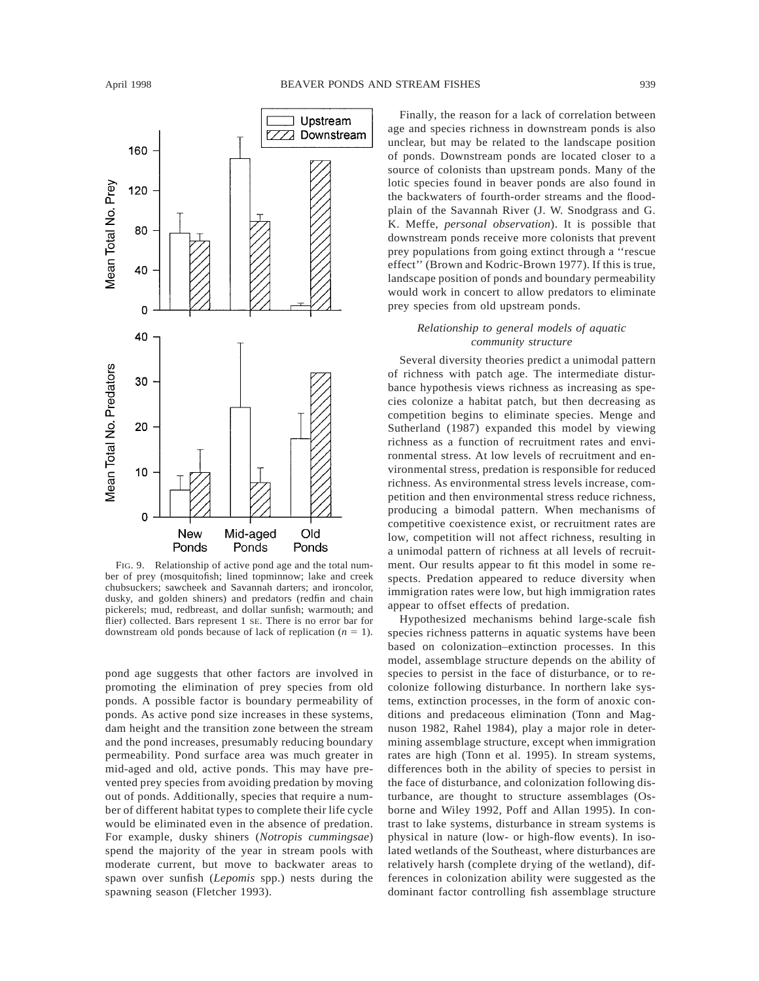

FIG. 9. Relationship of active pond age and the total number of prey (mosquitofish; lined topminnow; lake and creek chubsuckers; sawcheek and Savannah darters; and ironcolor, dusky, and golden shiners) and predators (redfin and chain pickerels; mud, redbreast, and dollar sunfish; warmouth; and flier) collected. Bars represent 1 SE. There is no error bar for downstream old ponds because of lack of replication  $(n = 1)$ .

pond age suggests that other factors are involved in promoting the elimination of prey species from old ponds. A possible factor is boundary permeability of ponds. As active pond size increases in these systems, dam height and the transition zone between the stream and the pond increases, presumably reducing boundary permeability. Pond surface area was much greater in mid-aged and old, active ponds. This may have prevented prey species from avoiding predation by moving out of ponds. Additionally, species that require a number of different habitat types to complete their life cycle would be eliminated even in the absence of predation. For example, dusky shiners (*Notropis cummingsae*) spend the majority of the year in stream pools with moderate current, but move to backwater areas to spawn over sunfish (*Lepomis* spp.) nests during the spawning season (Fletcher 1993).

Finally, the reason for a lack of correlation between age and species richness in downstream ponds is also unclear, but may be related to the landscape position of ponds. Downstream ponds are located closer to a source of colonists than upstream ponds. Many of the lotic species found in beaver ponds are also found in the backwaters of fourth-order streams and the floodplain of the Savannah River (J. W. Snodgrass and G. K. Meffe, *personal observation*). It is possible that downstream ponds receive more colonists that prevent prey populations from going extinct through a ''rescue effect'' (Brown and Kodric-Brown 1977). If this is true, landscape position of ponds and boundary permeability would work in concert to allow predators to eliminate prey species from old upstream ponds.

## *Relationship to general models of aquatic community structure*

Several diversity theories predict a unimodal pattern of richness with patch age. The intermediate disturbance hypothesis views richness as increasing as species colonize a habitat patch, but then decreasing as competition begins to eliminate species. Menge and Sutherland (1987) expanded this model by viewing richness as a function of recruitment rates and environmental stress. At low levels of recruitment and environmental stress, predation is responsible for reduced richness. As environmental stress levels increase, competition and then environmental stress reduce richness, producing a bimodal pattern. When mechanisms of competitive coexistence exist, or recruitment rates are low, competition will not affect richness, resulting in a unimodal pattern of richness at all levels of recruitment. Our results appear to fit this model in some respects. Predation appeared to reduce diversity when immigration rates were low, but high immigration rates appear to offset effects of predation.

Hypothesized mechanisms behind large-scale fish species richness patterns in aquatic systems have been based on colonization–extinction processes. In this model, assemblage structure depends on the ability of species to persist in the face of disturbance, or to recolonize following disturbance. In northern lake systems, extinction processes, in the form of anoxic conditions and predaceous elimination (Tonn and Magnuson 1982, Rahel 1984), play a major role in determining assemblage structure, except when immigration rates are high (Tonn et al. 1995). In stream systems, differences both in the ability of species to persist in the face of disturbance, and colonization following disturbance, are thought to structure assemblages (Osborne and Wiley 1992, Poff and Allan 1995). In contrast to lake systems, disturbance in stream systems is physical in nature (low- or high-flow events). In isolated wetlands of the Southeast, where disturbances are relatively harsh (complete drying of the wetland), differences in colonization ability were suggested as the dominant factor controlling fish assemblage structure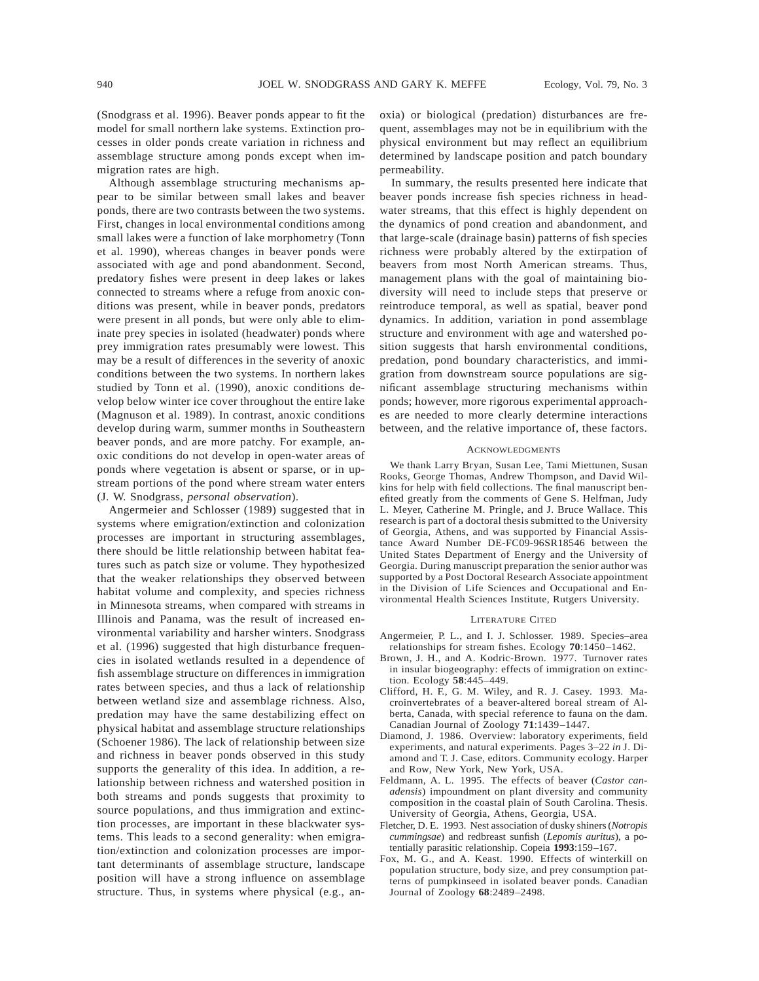(Snodgrass et al. 1996). Beaver ponds appear to fit the model for small northern lake systems. Extinction processes in older ponds create variation in richness and assemblage structure among ponds except when immigration rates are high.

Although assemblage structuring mechanisms appear to be similar between small lakes and beaver ponds, there are two contrasts between the two systems. First, changes in local environmental conditions among small lakes were a function of lake morphometry (Tonn et al. 1990), whereas changes in beaver ponds were associated with age and pond abandonment. Second, predatory fishes were present in deep lakes or lakes connected to streams where a refuge from anoxic conditions was present, while in beaver ponds, predators were present in all ponds, but were only able to eliminate prey species in isolated (headwater) ponds where prey immigration rates presumably were lowest. This may be a result of differences in the severity of anoxic conditions between the two systems. In northern lakes studied by Tonn et al. (1990), anoxic conditions develop below winter ice cover throughout the entire lake (Magnuson et al. 1989). In contrast, anoxic conditions develop during warm, summer months in Southeastern beaver ponds, and are more patchy. For example, anoxic conditions do not develop in open-water areas of ponds where vegetation is absent or sparse, or in upstream portions of the pond where stream water enters (J. W. Snodgrass, *personal observation*).

Angermeier and Schlosser (1989) suggested that in systems where emigration/extinction and colonization processes are important in structuring assemblages, there should be little relationship between habitat features such as patch size or volume. They hypothesized that the weaker relationships they observed between habitat volume and complexity, and species richness in Minnesota streams, when compared with streams in Illinois and Panama, was the result of increased environmental variability and harsher winters. Snodgrass et al. (1996) suggested that high disturbance frequencies in isolated wetlands resulted in a dependence of fish assemblage structure on differences in immigration rates between species, and thus a lack of relationship between wetland size and assemblage richness. Also, predation may have the same destabilizing effect on physical habitat and assemblage structure relationships (Schoener 1986). The lack of relationship between size and richness in beaver ponds observed in this study supports the generality of this idea. In addition, a relationship between richness and watershed position in both streams and ponds suggests that proximity to source populations, and thus immigration and extinction processes, are important in these blackwater systems. This leads to a second generality: when emigration/extinction and colonization processes are important determinants of assemblage structure, landscape position will have a strong influence on assemblage structure. Thus, in systems where physical (e.g., anoxia) or biological (predation) disturbances are frequent, assemblages may not be in equilibrium with the physical environment but may reflect an equilibrium determined by landscape position and patch boundary permeability.

In summary, the results presented here indicate that beaver ponds increase fish species richness in headwater streams, that this effect is highly dependent on the dynamics of pond creation and abandonment, and that large-scale (drainage basin) patterns of fish species richness were probably altered by the extirpation of beavers from most North American streams. Thus, management plans with the goal of maintaining biodiversity will need to include steps that preserve or reintroduce temporal, as well as spatial, beaver pond dynamics. In addition, variation in pond assemblage structure and environment with age and watershed position suggests that harsh environmental conditions, predation, pond boundary characteristics, and immigration from downstream source populations are significant assemblage structuring mechanisms within ponds; however, more rigorous experimental approaches are needed to more clearly determine interactions between, and the relative importance of, these factors.

#### ACKNOWLEDGMENTS

We thank Larry Bryan, Susan Lee, Tami Miettunen, Susan Rooks, George Thomas, Andrew Thompson, and David Wilkins for help with field collections. The final manuscript benefited greatly from the comments of Gene S. Helfman, Judy L. Meyer, Catherine M. Pringle, and J. Bruce Wallace. This research is part of a doctoral thesis submitted to the University of Georgia, Athens, and was supported by Financial Assistance Award Number DE-FC09-96SR18546 between the United States Department of Energy and the University of Georgia. During manuscript preparation the senior author was supported by a Post Doctoral Research Associate appointment in the Division of Life Sciences and Occupational and Environmental Health Sciences Institute, Rutgers University.

#### LITERATURE CITED

- Angermeier, P. L., and I. J. Schlosser. 1989. Species–area relationships for stream fishes. Ecology **70**:1450–1462.
- Brown, J. H., and A. Kodric-Brown. 1977. Turnover rates in insular biogeography: effects of immigration on extinction. Ecology **58**:445–449.
- Clifford, H. F., G. M. Wiley, and R. J. Casey. 1993. Macroinvertebrates of a beaver-altered boreal stream of Alberta, Canada, with special reference to fauna on the dam. Canadian Journal of Zoology **71**:1439–1447.
- Diamond, J. 1986. Overview: laboratory experiments, field experiments, and natural experiments. Pages 3–22 *in* J. Diamond and T. J. Case, editors. Community ecology. Harper and Row, New York, New York, USA.
- Feldmann, A. L. 1995. The effects of beaver (*Castor canadensis*) impoundment on plant diversity and community composition in the coastal plain of South Carolina. Thesis. University of Georgia, Athens, Georgia, USA.
- Fletcher, D. E. 1993. Nest association of dusky shiners (*Notropis cummingsae*) and redbreast sunfish (*Lepomis auritus*), a potentially parasitic relationship. Copeia **1993**:159–167.
- Fox, M. G., and A. Keast. 1990. Effects of winterkill on population structure, body size, and prey consumption patterns of pumpkinseed in isolated beaver ponds. Canadian Journal of Zoology **68**:2489–2498.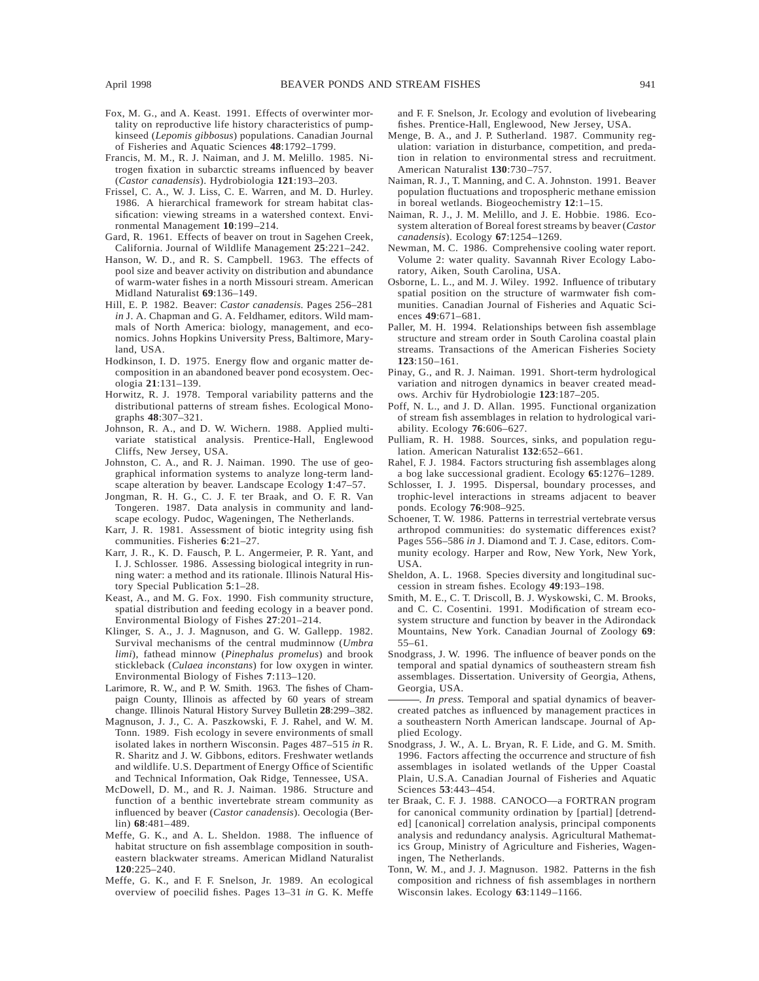- Fox, M. G., and A. Keast. 1991. Effects of overwinter mortality on reproductive life history characteristics of pumpkinseed (*Lepomis gibbosus*) populations. Canadian Journal of Fisheries and Aquatic Sciences **48**:1792–1799.
- Francis, M. M., R. J. Naiman, and J. M. Melillo. 1985. Nitrogen fixation in subarctic streams influenced by beaver (*Castor canadensis*). Hydrobiologia **121**:193–203.
- Frissel, C. A., W. J. Liss, C. E. Warren, and M. D. Hurley. 1986. A hierarchical framework for stream habitat classification: viewing streams in a watershed context. Environmental Management **10**:199–214.
- Gard, R. 1961. Effects of beaver on trout in Sagehen Creek, California. Journal of Wildlife Management **25**:221–242.
- Hanson, W. D., and R. S. Campbell. 1963. The effects of pool size and beaver activity on distribution and abundance of warm-water fishes in a north Missouri stream. American Midland Naturalist **69**:136–149.
- Hill, E. P. 1982. Beaver: *Castor canadensis.* Pages 256–281 *in* J. A. Chapman and G. A. Feldhamer, editors. Wild mammals of North America: biology, management, and economics. Johns Hopkins University Press, Baltimore, Maryland, USA.
- Hodkinson, I. D. 1975. Energy flow and organic matter decomposition in an abandoned beaver pond ecosystem. Oecologia **21**:131–139.
- Horwitz, R. J. 1978. Temporal variability patterns and the distributional patterns of stream fishes. Ecological Monographs **48**:307–321.
- Johnson, R. A., and D. W. Wichern. 1988. Applied multivariate statistical analysis. Prentice-Hall, Englewood Cliffs, New Jersey, USA.
- Johnston, C. A., and R. J. Naiman. 1990. The use of geographical information systems to analyze long-term landscape alteration by beaver. Landscape Ecology **1**:47–57.
- Jongman, R. H. G., C. J. F. ter Braak, and O. F. R. Van Tongeren. 1987. Data analysis in community and landscape ecology. Pudoc, Wageningen, The Netherlands.
- Karr, J. R. 1981. Assessment of biotic integrity using fish communities. Fisheries **6**:21–27.
- Karr, J. R., K. D. Fausch, P. L. Angermeier, P. R. Yant, and I. J. Schlosser. 1986. Assessing biological integrity in running water: a method and its rationale. Illinois Natural History Special Publication **5**:1–28.
- Keast, A., and M. G. Fox. 1990. Fish community structure, spatial distribution and feeding ecology in a beaver pond. Environmental Biology of Fishes **27**:201–214.
- Klinger, S. A., J. J. Magnuson, and G. W. Gallepp. 1982. Survival mechanisms of the central mudminnow (*Umbra limi*), fathead minnow (*Pinephalus promelus*) and brook stickleback (*Culaea inconstans*) for low oxygen in winter. Environmental Biology of Fishes **7**:113–120.
- Larimore, R. W., and P. W. Smith. 1963. The fishes of Champaign County, Illinois as affected by 60 years of stream change. Illinois Natural History Survey Bulletin **28**:299–382.
- Magnuson, J. J., C. A. Paszkowski, F. J. Rahel, and W. M. Tonn. 1989. Fish ecology in severe environments of small isolated lakes in northern Wisconsin. Pages 487–515 *in* R. R. Sharitz and J. W. Gibbons, editors. Freshwater wetlands and wildlife. U.S. Department of Energy Office of Scientific and Technical Information, Oak Ridge, Tennessee, USA.
- McDowell, D. M., and R. J. Naiman. 1986. Structure and function of a benthic invertebrate stream community as influenced by beaver (*Castor canadensis*). Oecologia (Berlin) **68**:481–489.
- Meffe, G. K., and A. L. Sheldon. 1988. The influence of habitat structure on fish assemblage composition in southeastern blackwater streams. American Midland Naturalist **120**:225–240.
- Meffe, G. K., and F. F. Snelson, Jr. 1989. An ecological overview of poecilid fishes. Pages 13–31 *in* G. K. Meffe

and F. F. Snelson, Jr. Ecology and evolution of livebearing fishes. Prentice-Hall, Englewood, New Jersey, USA.

- Menge, B. A., and J. P. Sutherland. 1987. Community regulation: variation in disturbance, competition, and predation in relation to environmental stress and recruitment. American Naturalist **130**:730–757.
- Naiman, R. J., T. Manning, and C. A. Johnston. 1991. Beaver population fluctuations and tropospheric methane emission in boreal wetlands. Biogeochemistry **12**:1–15.
- Naiman, R. J., J. M. Melillo, and J. E. Hobbie. 1986. Ecosystem alteration of Boreal forest streams by beaver (*Castor canadensis*). Ecology **67**:1254–1269.
- Newman, M. C. 1986. Comprehensive cooling water report. Volume 2: water quality. Savannah River Ecology Laboratory, Aiken, South Carolina, USA.
- Osborne, L. L., and M. J. Wiley. 1992. Influence of tributary spatial position on the structure of warmwater fish communities. Canadian Journal of Fisheries and Aquatic Sciences **49**:671–681.
- Paller, M. H. 1994. Relationships between fish assemblage structure and stream order in South Carolina coastal plain streams. Transactions of the American Fisheries Society **123**:150–161.
- Pinay, G., and R. J. Naiman. 1991. Short-term hydrological variation and nitrogen dynamics in beaver created meadows. Archiv für Hydrobiologie 123:187-205.
- Poff, N. L., and J. D. Allan. 1995. Functional organization of stream fish assemblages in relation to hydrological variability. Ecology **76**:606–627.
- Pulliam, R. H. 1988. Sources, sinks, and population regulation. American Naturalist **132**:652–661.
- Rahel, F. J. 1984. Factors structuring fish assemblages along a bog lake successional gradient. Ecology **65**:1276–1289.
- Schlosser, I. J. 1995. Dispersal, boundary processes, and trophic-level interactions in streams adjacent to beaver ponds. Ecology **76**:908–925.
- Schoener, T. W. 1986. Patterns in terrestrial vertebrate versus arthropod communities: do systematic differences exist? Pages 556–586 *in* J. Diamond and T. J. Case, editors. Community ecology. Harper and Row, New York, New York, USA.
- Sheldon, A. L. 1968. Species diversity and longitudinal succession in stream fishes. Ecology **49**:193–198.
- Smith, M. E., C. T. Driscoll, B. J. Wyskowski, C. M. Brooks, and C. C. Cosentini. 1991. Modification of stream ecosystem structure and function by beaver in the Adirondack Mountains, New York. Canadian Journal of Zoology **69**: 55–61.
- Snodgrass, J. W. 1996. The influence of beaver ponds on the temporal and spatial dynamics of southeastern stream fish assemblages. Dissertation. University of Georgia, Athens, Georgia, USA.
- . *In press.* Temporal and spatial dynamics of beavercreated patches as influenced by management practices in a southeastern North American landscape. Journal of Applied Ecology.
- Snodgrass, J. W., A. L. Bryan, R. F. Lide, and G. M. Smith. 1996. Factors affecting the occurrence and structure of fish assemblages in isolated wetlands of the Upper Coastal Plain, U.S.A. Canadian Journal of Fisheries and Aquatic Sciences **53**:443–454.
- ter Braak, C. F. J. 1988. CANOCO—a FORTRAN program for canonical community ordination by [partial] [detrended] [canonical] correlation analysis, principal components analysis and redundancy analysis. Agricultural Mathematics Group, Ministry of Agriculture and Fisheries, Wageningen, The Netherlands.
- Tonn, W. M., and J. J. Magnuson. 1982. Patterns in the fish composition and richness of fish assemblages in northern Wisconsin lakes. Ecology **63**:1149–1166.